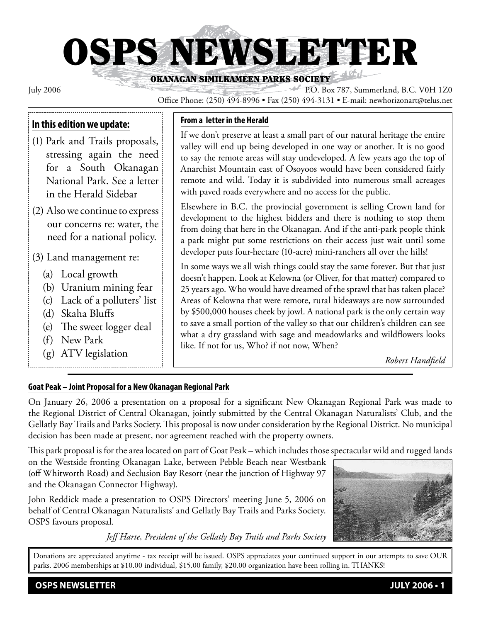# OSPS NEWSLETTER

OKANAGAN SIMILKAMEEN PARKS SOCIETY

July 2006 P.O. Box 787, Summerland, B.C. V0H 1Z0 Office Phone: (250) 494-8996 • Fax (250) 494-3131 • E-mail: newhorizonart@telus.net

#### **In this edition we update:**

- (1) Park and Trails proposals, stressing again the need for a South Okanagan National Park. See a letter in the Herald Sidebar
- (2) Also we continue to express our concerns re: water, the need for a national policy.

#### (3) Land management re:

- (a) Local growth
- (b) Uranium mining fear
- (c) Lack of a polluters' list
- (d) Skaha Bluffs
- (e) The sweet logger deal
- (f) New Park
- (g) ATV legislation

#### **From a letter in the Herald**

If we don't preserve at least a small part of our natural heritage the entire valley will end up being developed in one way or another. It is no good to say the remote areas will stay undeveloped. A few years ago the top of Anarchist Mountain east of Osoyoos would have been considered fairly remote and wild. Today it is subdivided into numerous small acreages with paved roads everywhere and no access for the public.

Elsewhere in B.C. the provincial government is selling Crown land for development to the highest bidders and there is nothing to stop them from doing that here in the Okanagan. And if the anti-park people think a park might put some restrictions on their access just wait until some developer puts four-hectare (10-acre) mini-ranchers all over the hills!

In some ways we all wish things could stay the same forever. But that just doesn't happen. Look at Kelowna (or Oliver, for that matter) compared to 25 years ago. Who would have dreamed of the sprawl that has taken place? Areas of Kelowna that were remote, rural hideaways are now surrounded by \$500,000 houses cheek by jowl. A national park is the only certain way to save a small portion of the valley so that our children's children can see what a dry grassland with sage and meadowlarks and wildflowers looks like. If not for us, Who? if not now, When?

*Robert Handfield*

#### **Goat Peak – Joint Proposal for a New Okanagan Regional Park**

On January 26, 2006 a presentation on a proposal for a significant New Okanagan Regional Park was made to the Regional District of Central Okanagan, jointly submitted by the Central Okanagan Naturalists' Club, and the Gellatly Bay Trails and Parks Society. This proposal is now under consideration by the Regional District. No municipal decision has been made at present, nor agreement reached with the property owners.

This park proposal is for the area located on part of Goat Peak – which includes those spectacular wild and rugged lands

on the Westside fronting Okanagan Lake, between Pebble Beach near Westbank (off Whitworth Road) and Seclusion Bay Resort (near the junction of Highway 97 and the Okanagan Connector Highway).

John Reddick made a presentation to OSPS Directors' meeting June 5, 2006 on behalf of Central Okanagan Naturalists' and Gellatly Bay Trails and Parks Society. OSPS favours proposal.

*Jeff Harte, President of the Gellatly Bay Trails and Parks Society*



Donations are appreciated anytime - tax receipt will be issued. OSPS appreciates your continued support in our attempts to save OUR parks. 2006 memberships at \$10.00 individual, \$15.00 family, \$20.00 organization have been rolling in. THANKS!

**OSPS NEWSLETTER JULY 2006 • 1**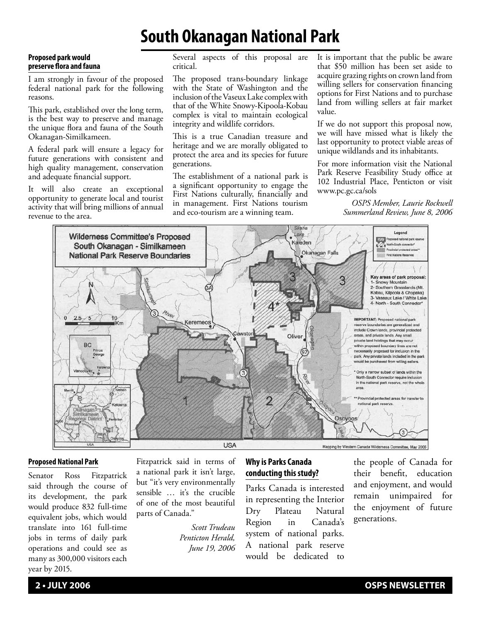### **South Okanagan National Park**

#### **Proposed park would preserve flora and fauna**

I am strongly in favour of the proposed federal national park for the following reasons.

This park, established over the long term, is the best way to preserve and manage the unique flora and fauna of the South Okanagan-Similkameen.

A federal park will ensure a legacy for future generations with consistent and high quality management, conservation and adequate financial support.

It will also create an exceptional opportunity to generate local and tourist activity that will bring millions of annual revenue to the area.

Several aspects of this proposal are critical.

The proposed trans-boundary linkage with the State of Washington and the inclusion of the Vaseux Lake complex with that of the White Snowy-Kipoola-Kobau complex is vital to maintain ecological integrity and wildlife corridors.

This is a true Canadian treasure and heritage and we are morally obligated to protect the area and its species for future generations.

The establishment of a national park is a significant opportunity to engage the First Nations culturally, financially and in management. First Nations tourism and eco-tourism are a winning team.

It is important that the public be aware that \$50 million has been set aside to acquire grazing rights on crown land from willing sellers for conservation financing options for First Nations and to purchase land from willing sellers at fair market value.

If we do not support this proposal now, we will have missed what is likely the last opportunity to protect viable areas of unique wildlands and its inhabitants.

For more information visit the National Park Reserve Feasibility Study office at 102 Industrial Place, Penticton or visit www.pc.gc.ca/sols

> *OSPS Member, Laurie Rockwell Summerland Review, June 8, 2006*



#### **Proposed National Park**

Senator Ross Fitzpatrick said through the course of its development, the park would produce 832 full-time equivalent jobs, which would translate into 161 full-time jobs in terms of daily park operations and could see as many as 300,000 visitors each year by 2015.

Fitzpatrick said in terms of a national park it isn't large, but "it's very environmentally sensible … it's the crucible of one of the most beautiful parts of Canada."

> *Scott Trudeau Penticton Herald, June 19, 2006*

#### **Why is Parks Canada conducting this study?**

Parks Canada is interested in representing the Interior Dry Plateau Natural Region in Canada's system of national parks. A national park reserve would be dedicated to

the people of Canada for their benefit, education and enjoyment, and would remain unimpaired for the enjoyment of future generations.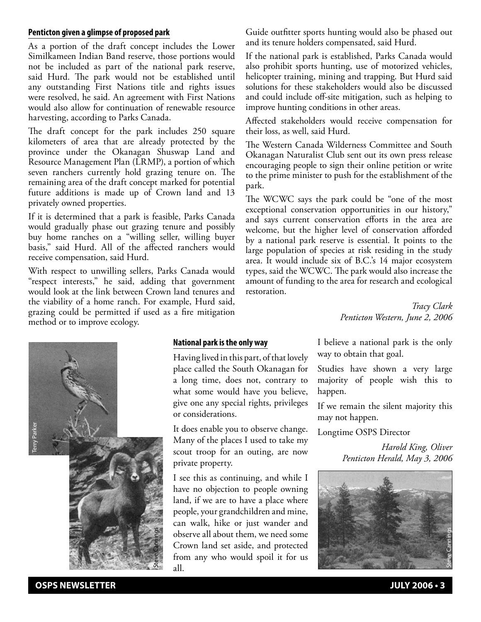#### **Penticton given a glimpse of proposed park**

As a portion of the draft concept includes the Lower Similkameen Indian Band reserve, those portions would not be included as part of the national park reserve, said Hurd. The park would not be established until any outstanding First Nations title and rights issues were resolved, he said. An agreement with First Nations would also allow for continuation of renewable resource harvesting, according to Parks Canada.

The draft concept for the park includes 250 square kilometers of area that are already protected by the province under the Okanagan Shuswap Land and Resource Management Plan (LRMP), a portion of which seven ranchers currently hold grazing tenure on. The remaining area of the draft concept marked for potential future additions is made up of Crown land and 13 privately owned properties.

If it is determined that a park is feasible, Parks Canada would gradually phase out grazing tenure and possibly buy home ranches on a "willing seller, willing buyer basis," said Hurd. All of the affected ranchers would receive compensation, said Hurd.

With respect to unwilling sellers, Parks Canada would "respect interests," he said, adding that government would look at the link between Crown land tenures and the viability of a home ranch. For example, Hurd said, grazing could be permitted if used as a fire mitigation method or to improve ecology.

Guide outfitter sports hunting would also be phased out and its tenure holders compensated, said Hurd.

If the national park is established, Parks Canada would also prohibit sports hunting, use of motorized vehicles, helicopter training, mining and trapping. But Hurd said solutions for these stakeholders would also be discussed and could include off-site mitigation, such as helping to improve hunting conditions in other areas.

Affected stakeholders would receive compensation for their loss, as well, said Hurd.

The Western Canada Wilderness Committee and South Okanagan Naturalist Club sent out its own press release encouraging people to sign their online petition or write to the prime minister to push for the establishment of the park.

The WCWC says the park could be "one of the most exceptional conservation opportunities in our history," and says current conservation efforts in the area are welcome, but the higher level of conservation afforded by a national park reserve is essential. It points to the large population of species at risk residing in the study area. It would include six of B.C.'s 14 major ecosystem types, said the WCWC. The park would also increase the amount of funding to the area for research and ecological restoration.

> *Tracy Clark Penticton Western, June 2, 2006*



#### **National park is the only way**

Having lived in this part, of that lovely place called the South Okanagan for a long time, does not, contrary to what some would have you believe, give one any special rights, privileges or considerations.

It does enable you to observe change. Many of the places I used to take my scout troop for an outing, are now private property.

I see this as continuing, and while I have no objection to people owning land, if we are to have a place where people, your grandchildren and mine, can walk, hike or just wander and observe all about them, we need some Crown land set aside, and protected from any who would spoil it for us all.

I believe a national park is the only way to obtain that goal.

Studies have shown a very large majority of people wish this to happen.

If we remain the silent majority this may not happen.

Longtime OSPS Director

*Harold King, Oliver Penticton Herald, May 3, 2006*

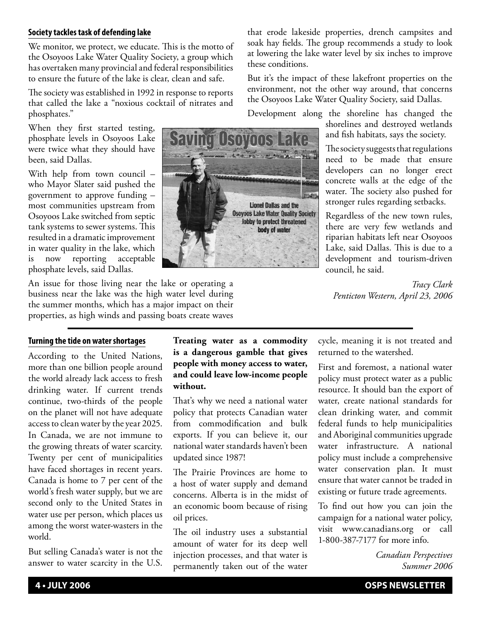#### **Society tackles task of defending lake**

We monitor, we protect, we educate. This is the motto of the Osoyoos Lake Water Quality Society, a group which has overtaken many provincial and federal responsibilities to ensure the future of the lake is clear, clean and safe.

The society was established in 1992 in response to reports that called the lake a "noxious cocktail of nitrates and phosphates."

When they first started testing, phosphate levels in Osoyoos Lake were twice what they should have been, said Dallas.

With help from town council – who Mayor Slater said pushed the government to approve funding – most communities upstream from Osoyoos Lake switched from septic tank systems to sewer systems. This resulted in a dramatic improvement in water quality in the lake, which now reporting acceptable phosphate levels, said Dallas.

An issue for those living near the lake or operating a business near the lake was the high water level during the summer months, which has a major impact on their properties, as high winds and passing boats create waves

that erode lakeside properties, drench campsites and soak hay fields. The group recommends a study to look at lowering the lake water level by six inches to improve these conditions.

But it's the impact of these lakefront properties on the environment, not the other way around, that concerns the Osoyoos Lake Water Quality Society, said Dallas.

Development along the shoreline has changed the

shorelines and destroyed wetlands and fish habitats, says the society.

The society suggests that regulations need to be made that ensure developers can no longer erect concrete walls at the edge of the water. The society also pushed for stronger rules regarding setbacks.

Regardless of the new town rules, there are very few wetlands and riparian habitats left near Osoyoos Lake, said Dallas. This is due to a development and tourism-driven council, he said.

*Tracy Clark Penticton Western, April 23, 2006*

#### **Turning the tide on water shortages**

According to the United Nations, more than one billion people around the world already lack access to fresh drinking water. If current trends continue, two-thirds of the people on the planet will not have adequate access to clean water by the year 2025. In Canada, we are not immune to the growing threats of water scarcity. Twenty per cent of municipalities have faced shortages in recent years. Canada is home to 7 per cent of the world's fresh water supply, but we are second only to the United States in water use per person, which places us among the worst water-wasters in the world.

But selling Canada's water is not the answer to water scarcity in the U.S.

#### **Treating water as a commodity is a dangerous gamble that gives people with money access to water, and could leave low-income people without.**

That's why we need a national water policy that protects Canadian water from commodification and bulk exports. If you can believe it, our national water standards haven't been updated since 1987!

The Prairie Provinces are home to a host of water supply and demand concerns. Alberta is in the midst of an economic boom because of rising oil prices.

The oil industry uses a substantial amount of water for its deep well injection processes, and that water is permanently taken out of the water

cycle, meaning it is not treated and returned to the watershed.

First and foremost, a national water policy must protect water as a public resource. It should ban the export of water, create national standards for clean drinking water, and commit federal funds to help municipalities and Aboriginal communities upgrade water infrastructure. A national policy must include a comprehensive water conservation plan. It must ensure that water cannot be traded in existing or future trade agreements.

To find out how you can join the campaign for a national water policy, visit www.canadians.org or call 1-800-387-7177 for more info.

> *Canadian Perspectives Summer 2006*

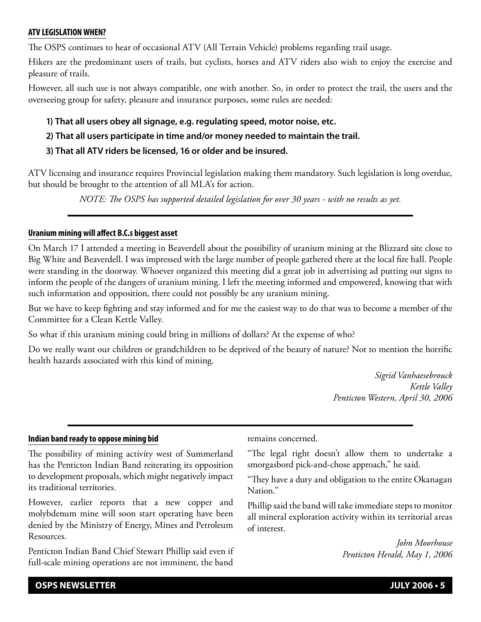#### **ATV LEGISLATION WHEN?**

The OSPS continues to hear of occasional ATV (All Terrain Vehicle) problems regarding trail usage.

Hikers are the predominant users of trails, but cyclists, horses and ATV riders also wish to enjoy the exercise and pleasure of trails.

However, all such use is not always compatible, one with another. So, in order to protect the trail, the users and the overseeing group for safety, pleasure and insurance purposes, some rules are needed:

**1) That all users obey all signage, e.g. regulating speed, motor noise, etc.**

#### **2) That all users participate in time and/or money needed to maintain the trail.**

#### **3) That all ATV riders be licensed, 16 or older and be insured.**

ATV licensing and insurance requires Provincial legislation making them mandatory. Such legislation is long overdue, but should be brought to the attention of all MLA's for action.

*NOTE: The OSPS has supported detailed legislation for over 30 years - with no results as yet.*

#### **Uranium mining will affect B.C.s biggest asset**

On March 17 I attended a meeting in Beaverdell about the possibility of uranium mining at the Blizzard site close to Big White and Beaverdell. I was impressed with the large number of people gathered there at the local fire hall. People were standing in the doorway. Whoever organized this meeting did a great job in advertising ad putting out signs to inform the people of the dangers of uranium mining. I left the meeting informed and empowered, knowing that with such information and opposition, there could not possibly be any uranium mining.

But we have to keep fighting and stay informed and for me the easiest way to do that was to become a member of the Committee for a Clean Kettle Valley.

So what if this uranium mining could bring in millions of dollars? At the expense of who?

Do we really want our children or grandchildren to be deprived of the beauty of nature? Not to mention the horrific health hazards associated with this kind of mining.

> *Sigrid Vanhaesebrouck Kettle Valley Penticton Western, April 30, 2006*

#### **Indian band ready to oppose mining bid**

The possibility of mining activity west of Summerland has the Penticton Indian Band reiterating its opposition to development proposals, which might negatively impact its traditional territories.

However, earlier reports that a new copper and molybdenum mine will soon start operating have been denied by the Ministry of Energy, Mines and Petroleum Resources.

Penticton Indian Band Chief Stewart Phillip said even if full-scale mining operations are not imminent, the band

remains concerned.

"The legal right doesn't allow them to undertake a smorgasbord pick-and-chose approach," he said.

"They have a duty and obligation to the entire Okanagan Nation."

Phillip said the band will take immediate steps to monitor all mineral exploration activity within its territorial areas of interest.

> *John Moorhouse Penticton Herald, May 1, 2006*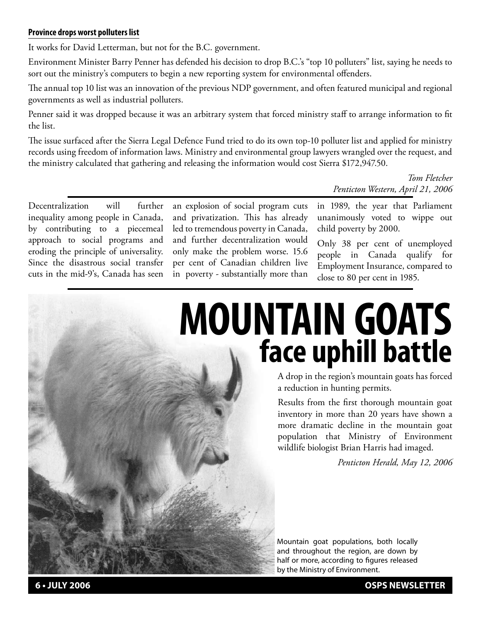#### **Province drops worst polluters list**

It works for David Letterman, but not for the B.C. government.

Environment Minister Barry Penner has defended his decision to drop B.C.'s "top 10 polluters" list, saying he needs to sort out the ministry's computers to begin a new reporting system for environmental offenders.

The annual top 10 list was an innovation of the previous NDP government, and often featured municipal and regional governments as well as industrial polluters.

Penner said it was dropped because it was an arbitrary system that forced ministry staff to arrange information to fit the list.

The issue surfaced after the Sierra Legal Defence Fund tried to do its own top-10 polluter list and applied for ministry records using freedom of information laws. Ministry and environmental group lawyers wrangled over the request, and the ministry calculated that gathering and releasing the information would cost Sierra \$172,947.50.

> *Tom Fletcher Penticton Western, April 21, 2006*

Decentralization will further inequality among people in Canada, by contributing to a piecemeal approach to social programs and eroding the principle of universality. Since the disastrous social transfer cuts in the mid-9's, Canada has seen an explosion of social program cuts and privatization. This has already led to tremendous poverty in Canada, and further decentralization would only make the problem worse. 15.6 per cent of Canadian children live in poverty - substantially more than

in 1989, the year that Parliament unanimously voted to wippe out child poverty by 2000.

Only 38 per cent of unemployed people in Canada qualify for Employment Insurance, compared to close to 80 per cent in 1985.

## **MOUNTAIN GOATS face uphill battle**

A drop in the region's mountain goats has forced a reduction in hunting permits.

Results from the first thorough mountain goat inventory in more than 20 years have shown a more dramatic decline in the mountain goat population that Ministry of Environment wildlife biologist Brian Harris had imaged.

*Penticton Herald, May 12, 2006*

Mountain goat populations, both locally and throughout the region, are down by half or more, according to figures released by the Ministry of Environment.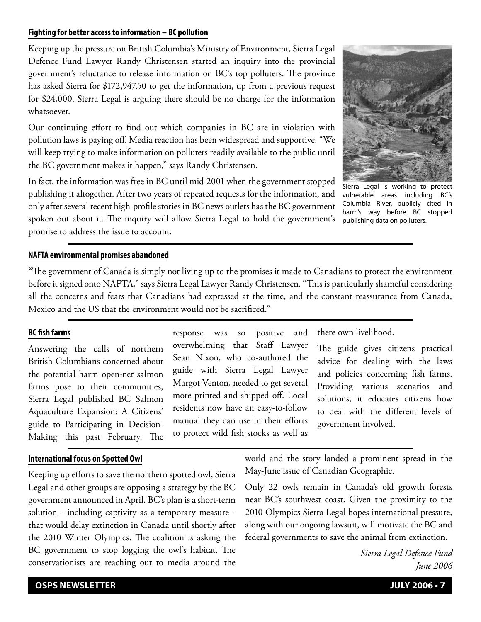#### **Fighting for better access to information – BC pollution**

Keeping up the pressure on British Columbia's Ministry of Environment, Sierra Legal Defence Fund Lawyer Randy Christensen started an inquiry into the provincial government's reluctance to release information on BC's top polluters. The province has asked Sierra for \$172,947.50 to get the information, up from a previous request for \$24,000. Sierra Legal is arguing there should be no charge for the information whatsoever.

Our continuing effort to find out which companies in BC are in violation with pollution laws is paying off. Media reaction has been widespread and supportive. "We will keep trying to make information on polluters readily available to the public until the BC government makes it happen," says Randy Christensen.

In fact, the information was free in BC until mid-2001 when the government stopped publishing it altogether. After two years of repeated requests for the information, and only after several recent high-profile stories in BC news outlets has the BC government spoken out about it. The inquiry will allow Sierra Legal to hold the government's promise to address the issue to account.



Sierra Legal is working to protect vulnerable areas including BC's Columbia River, publicly cited in harm's way before BC stopped publishing data on polluters.

#### **NAFTA environmental promises abandoned**

"The government of Canada is simply not living up to the promises it made to Canadians to protect the environment before it signed onto NAFTA," says Sierra Legal Lawyer Randy Christensen. "This is particularly shameful considering all the concerns and fears that Canadians had expressed at the time, and the constant reassurance from Canada, Mexico and the US that the environment would not be sacrificed."

#### **BC fish farms**

Answering the calls of northern British Columbians concerned about the potential harm open-net salmon farms pose to their communities, Sierra Legal published BC Salmon Aquaculture Expansion: A Citizens' guide to Participating in Decision-Making this past February. The

#### **International focus on Spotted Owl**

Keeping up efforts to save the northern spotted owl, Sierra Legal and other groups are opposing a strategy by the BC government announced in April. BC's plan is a short-term solution - including captivity as a temporary measure that would delay extinction in Canada until shortly after the 2010 Winter Olympics. The coalition is asking the BC government to stop logging the owl's habitat. The conservationists are reaching out to media around the

response was so positive and overwhelming that Staff Lawyer Sean Nixon, who co-authored the guide with Sierra Legal Lawyer Margot Venton, needed to get several more printed and shipped off. Local residents now have an easy-to-follow manual they can use in their efforts to protect wild fish stocks as well as

there own livelihood.

The guide gives citizens practical advice for dealing with the laws and policies concerning fish farms. Providing various scenarios and solutions, it educates citizens how to deal with the different levels of government involved.

world and the story landed a prominent spread in the May-June issue of Canadian Geographic.

Only 22 owls remain in Canada's old growth forests near BC's southwest coast. Given the proximity to the 2010 Olympics Sierra Legal hopes international pressure, along with our ongoing lawsuit, will motivate the BC and federal governments to save the animal from extinction.

> *Sierra Legal Defence Fund June 2006*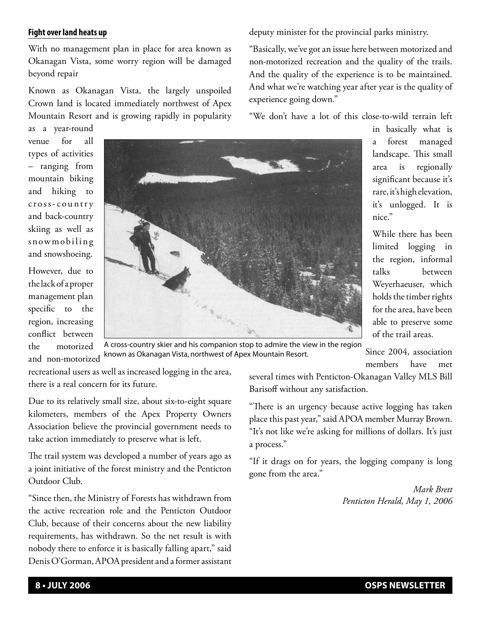#### **Fight over land heats up**

With no management plan in place for area known as Okanagan Vista, some worry region will be damaged beyond repair

Known as Okanagan Vista, the largely unspoiled Crown land is located immediately northwest of Apex Mountain Resort and is growing rapidly in popularity

as a year-round venue for all types of activities – ranging from mountain biking and hiking to c r o s s - c o u nt r y and back-country skiing as well as snowmobiling and snowshoeing.

However, due to the lack of a proper management plan specific to the region, increasing conflict between the motorized and non-motorized



Since 2004, association A cross-country skier and his companion stop to admire the view in the region known as Okanagan Vista, northwest of Apex Mountain Resort.

recreational users as well as increased logging in the area, there is a real concern for its future.

Due to its relatively small size, about six-to-eight square kilometers, members of the Apex Property Owners Association believe the provincial government needs to take action immediately to preserve what is left.

The trail system was developed a number of years ago as a joint initiative of the forest ministry and the Penticton Outdoor Club.

"Since then, the Ministry of Forests has withdrawn from the active recreation role and the Penticton Outdoor Club, because of their concerns about the new liability requirements, has withdrawn. So the net result is with nobody there to enforce it is basically falling apart," said Denis O'Gorman, APOA president and a former assistant several times with Penticton-Okanagan Valley MLS Bill Barisoff without any satisfaction.

"There is an urgency because active logging has taken place this past year," said APOA member Murray Brown. "It's not like we're asking for millions of dollars. It's just a process."

"If it drags on for years, the logging company is long gone from the area."

> *Mark Brett Penticton Herald, May 1, 2006*

deputy minister for the provincial parks ministry.

"Basically, we've got an issue here between motorized and non-motorized recreation and the quality of the trails. And the quality of the experience is to be maintained. And what we're watching year after year is the quality of experience going down."

"We don't have a lot of this close-to-wild terrain left

in basically what is a forest managed landscape. This small area is regionally significant because it's rare, it's high elevation, it's unlogged. It is

While there has been limited logging in the region, informal talks between Weyerhaeuser, which holds the timber rights for the area, have been able to preserve some of the trail areas.

members have met

nice."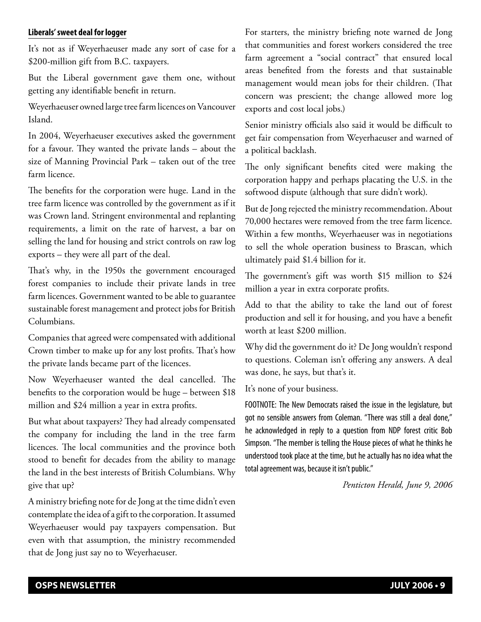#### **Liberals' sweet deal for logger**

It's not as if Weyerhaeuser made any sort of case for a \$200-million gift from B.C. taxpayers.

But the Liberal government gave them one, without getting any identifiable benefit in return.

Weyerhaeuser owned large tree farm licences on Vancouver Island.

In 2004, Weyerhaeuser executives asked the government for a favour. They wanted the private lands – about the size of Manning Provincial Park – taken out of the tree farm licence.

The benefits for the corporation were huge. Land in the tree farm licence was controlled by the government as if it was Crown land. Stringent environmental and replanting requirements, a limit on the rate of harvest, a bar on selling the land for housing and strict controls on raw log exports – they were all part of the deal.

That's why, in the 1950s the government encouraged forest companies to include their private lands in tree farm licences. Government wanted to be able to guarantee sustainable forest management and protect jobs for British Columbians.

Companies that agreed were compensated with additional Crown timber to make up for any lost profits. That's how the private lands became part of the licences.

Now Weyerhaeuser wanted the deal cancelled. The benefits to the corporation would be huge – between \$18 million and \$24 million a year in extra profits.

But what about taxpayers? They had already compensated the company for including the land in the tree farm licences. The local communities and the province both stood to benefit for decades from the ability to manage the land in the best interests of British Columbians. Why give that up?

A ministry briefing note for de Jong at the time didn't even contemplate the idea of a gift to the corporation. It assumed Weyerhaeuser would pay taxpayers compensation. But even with that assumption, the ministry recommended that de Jong just say no to Weyerhaeuser.

For starters, the ministry briefing note warned de Jong that communities and forest workers considered the tree farm agreement a "social contract" that ensured local areas benefited from the forests and that sustainable management would mean jobs for their children. (That concern was prescient; the change allowed more log exports and cost local jobs.)

Senior ministry officials also said it would be difficult to get fair compensation from Weyerhaeuser and warned of a political backlash.

The only significant benefits cited were making the corporation happy and perhaps placating the U.S. in the softwood dispute (although that sure didn't work).

But de Jong rejected the ministry recommendation. About 70,000 hectares were removed from the tree farm licence. Within a few months, Weyerhaeuser was in negotiations to sell the whole operation business to Brascan, which ultimately paid \$1.4 billion for it.

The government's gift was worth \$15 million to \$24 million a year in extra corporate profits.

Add to that the ability to take the land out of forest production and sell it for housing, and you have a benefit worth at least \$200 million.

Why did the government do it? De Jong wouldn't respond to questions. Coleman isn't offering any answers. A deal was done, he says, but that's it.

It's none of your business.

FOOTNOTE: The New Democrats raised the issue in the legislature, but got no sensible answers from Coleman. "There was still a deal done," he acknowledged in reply to a question from NDP forest critic Bob Simpson. "The member is telling the House pieces of what he thinks he understood took place at the time, but he actually has no idea what the total agreement was, because it isn't public."

*Penticton Herald, June 9, 2006*